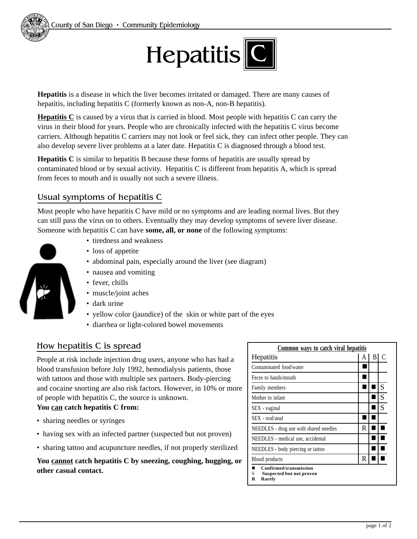

**Hepatitis** is a disease in which the liver becomes irritated or damaged. There are many causes of hepatitis, including hepatitis C (formerly known as non-A, non-B hepatitis).

**Hepatitis C** is caused by a virus that is carried in blood. Most people with hepatitis C can carry the virus in their blood for years. People who are chronically infected with the hepatitis C virus become carriers. Although hepatitis C carriers may not look or feel sick, they can infect other people. They can also develop severe liver problems at a later date. Hepatitis C is diagnosed through a blood test.

**Hepatitis C** is similar to hepatitis B because these forms of hepatitis are usually spread by contaminated blood or by sexual activity. Hepatitis C is different from hepatitis A, which is spread from feces to mouth and is usually not such a severe illness.

## Usual symptoms of hepatitis C

Most people who have hepatitis C have mild or no symptoms and are leading normal lives. But they can still pass the virus on to others. Eventually they may develop symptoms of severe liver disease. Someone with hepatitis C can have **some, all, or none** of the following symptoms:

- 
- tiredness and weakness
- loss of appetite
- abdominal pain, especially around the liver (see diagram)
- nausea and vomiting
- fever, chills
- muscle/joint aches
- dark urine
- yellow color (jaundice) of the skin or white part of the eyes
- diarrhea or light-colored bowel movements

## How hepatitis C is spread

People at risk include injection drug users, anyone who has had a blood transfusion before July 1992, hemodialysis patients, those with tattoos and those with multiple sex partners. Body-piercing and cocaine snorting are also risk factors. However, in 10% or more of people with hepatitis C, the source is unknown.

#### **You can catch hepatitis C from:**

- sharing needles or syringes
- having sex with an infected partner (suspected but not proven)
- sharing tattoo and acupuncture needles, if not properly sterilized

**You cannot catch hepatitis C by sneezing, coughing, hugging, or other casual contact.**

| Common ways to catch viral hepatitis                                                 |   |    |   |
|--------------------------------------------------------------------------------------|---|----|---|
| Hepatitis                                                                            | A | BI | € |
| Contaminated food/water                                                              |   |    |   |
| Feces to hands/mouth                                                                 |   |    |   |
| Family members                                                                       |   |    | S |
| Mother to infant                                                                     |   |    | S |
| SEX - vaginal                                                                        |   |    | S |
| SEX - oral/anal                                                                      |   |    |   |
| NEEDLES - drug use with shared needles                                               | R |    |   |
| NEEDLES - medical use, accidental                                                    |   |    |   |
| NEEDLES - body piercing or tattoo                                                    |   |    |   |
| Blood products                                                                       | R |    |   |
| <b>Confirmed transmission</b><br>S<br><b>Suspected but not proven</b><br>R<br>Rarely |   |    |   |